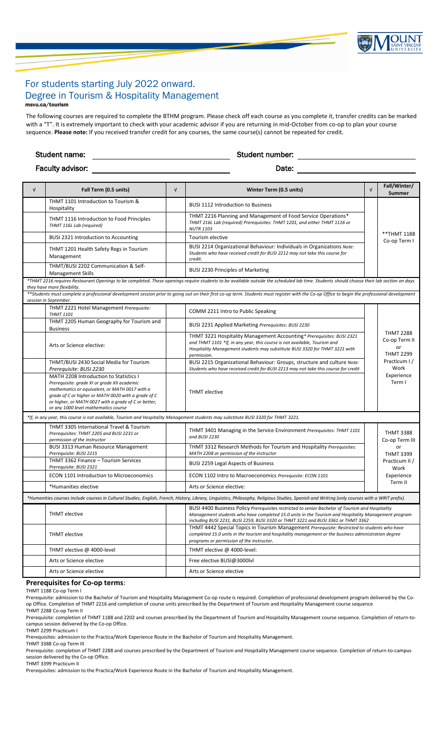

# For students starting July 2022 onward. Degree in Tourism & Hospitality Management msvu.ca/tourism

The following courses are required to complete the BTHM program. Please check off each course as you complete it, transfer credits can be marked with a "T". It is extremely important to check with your academic advisor if you are returning in mid-October from co-op to plan your course sequence. **Please note:** If you received transfer credit for any courses, the same course(s) cannot be repeated for credit.

Student name: Student number: Faculty advisor: Date: Date: Date: Date: Date: Date: Date: Date: Date: Date: Date: Date: Date: Date: Date: Date: Date: Date: Date: Date: Date: Date: Date: Date: Date: Date: Date: Date: Date: Date: Date: Date: Date: Date: D

| $\sqrt{ }$                                                                                                                                                                                                                                                                                                                                                                                                                                        | Fall Term (0.5 units)                                                                                                                                                                                                                                                                           | $\sqrt{ }$ | Winter Term (0.5 units)                                                                                                                                                                                                                                                                      | $\sqrt{ }$ | Fall/Winter/<br>Summer                                                                                      |  |
|---------------------------------------------------------------------------------------------------------------------------------------------------------------------------------------------------------------------------------------------------------------------------------------------------------------------------------------------------------------------------------------------------------------------------------------------------|-------------------------------------------------------------------------------------------------------------------------------------------------------------------------------------------------------------------------------------------------------------------------------------------------|------------|----------------------------------------------------------------------------------------------------------------------------------------------------------------------------------------------------------------------------------------------------------------------------------------------|------------|-------------------------------------------------------------------------------------------------------------|--|
|                                                                                                                                                                                                                                                                                                                                                                                                                                                   | THMT 1101 Introduction to Tourism &<br>Hospitality                                                                                                                                                                                                                                              |            | <b>BUSI 1112 Introduction to Business</b>                                                                                                                                                                                                                                                    |            |                                                                                                             |  |
|                                                                                                                                                                                                                                                                                                                                                                                                                                                   | THMT 1116 Introduction to Food Principles<br>THMT 116L Lab (required)                                                                                                                                                                                                                           |            | THMT 2216 Planning and Management of Food Service Operations*<br>THMT 216L Lab (required) Prerequisites: THMT 1201, and either THMT 1116 or<br><b>NUTR 1103</b>                                                                                                                              |            | ** THMT 1188<br>Co-op Term I                                                                                |  |
|                                                                                                                                                                                                                                                                                                                                                                                                                                                   | BUSI 2321 Introduction to Accounting                                                                                                                                                                                                                                                            |            | Tourism elective                                                                                                                                                                                                                                                                             |            |                                                                                                             |  |
|                                                                                                                                                                                                                                                                                                                                                                                                                                                   | THMT 1201 Health Safety Regs in Tourism<br>Management                                                                                                                                                                                                                                           |            | BUSI 2214 Organizational Behaviour: Individuals in Organizations Note:<br>Students who have received credit for BUSI 2212 may not take this course for<br>credit.                                                                                                                            |            |                                                                                                             |  |
|                                                                                                                                                                                                                                                                                                                                                                                                                                                   | THMT/BUSI 2202 Communication & Self-<br><b>Management Skills</b>                                                                                                                                                                                                                                |            | <b>BUSI 2230 Principles of Marketing</b>                                                                                                                                                                                                                                                     |            |                                                                                                             |  |
| *THMT 2216 requires Restaurant Openings to be completed. These openings require students to be available outside the scheduled lab time. Students should choose their lab section on days<br>they have more flexibility.<br>**Students must complete a professional development session prior to going out on their first co-op term. Students must register with the Co-op Office to begin the professional development<br>session in September. |                                                                                                                                                                                                                                                                                                 |            |                                                                                                                                                                                                                                                                                              |            |                                                                                                             |  |
|                                                                                                                                                                                                                                                                                                                                                                                                                                                   | THMT 2221 Hotel Management Prerequisite:<br><b>THMT 1101</b>                                                                                                                                                                                                                                    |            | COMM 2211 Intro to Public Speaking                                                                                                                                                                                                                                                           |            |                                                                                                             |  |
|                                                                                                                                                                                                                                                                                                                                                                                                                                                   | THMT 2205 Human Geography for Tourism and<br><b>Business</b>                                                                                                                                                                                                                                    |            | BUSI 2231 Applied Marketing Prerequisites: BUSI 2230                                                                                                                                                                                                                                         |            |                                                                                                             |  |
|                                                                                                                                                                                                                                                                                                                                                                                                                                                   | Arts or Science elective:                                                                                                                                                                                                                                                                       |            | THMT 3221 Hospitality Management Accounting* Prerequisites: BUSI 2321<br>and THMT 1101 *If, in any year, this course is not available, Tourism and<br>Hospitality Management students may substitute BUSI 3320 for THMT 3221 with<br>permission.                                             |            | <b>THMT 2288</b><br>Co-op Term II<br>or<br><b>THMT 2299</b><br>Practicum I/<br>Work<br>Experience<br>Term I |  |
|                                                                                                                                                                                                                                                                                                                                                                                                                                                   | THMT/BUSI 2430 Social Media for Tourism<br>Prerequisite: BUSI 2230                                                                                                                                                                                                                              |            | BUSI 2215 Organizational Behaviour: Groups, structure and culture Note:<br>Students who have received credit for BUSI 2213 may not take this course for credit                                                                                                                               |            |                                                                                                             |  |
|                                                                                                                                                                                                                                                                                                                                                                                                                                                   | MATH 2208 Introduction to Statistics I<br>Prerequisite: grade XI or grade XII academic<br>mathematics or equivalent, or MATH 0017 with a<br>grade of C or higher or MATH 0020 with a grade of C<br>or higher, or MATH 0027 with a grade of C or better,<br>or any 1000 level mathematics course |            | <b>THMT</b> elective                                                                                                                                                                                                                                                                         |            |                                                                                                             |  |
| *If, in any year, this course is not available, Tourism and Hospitality Management students may substitute BUSI 3320 for THMT 3221.                                                                                                                                                                                                                                                                                                               |                                                                                                                                                                                                                                                                                                 |            |                                                                                                                                                                                                                                                                                              |            |                                                                                                             |  |
|                                                                                                                                                                                                                                                                                                                                                                                                                                                   | THMT 3305 International Travel & Tourism<br>Prerequisites: THMT 2205 and BUSI 2231 or<br>permission of the instructor                                                                                                                                                                           |            | THMT 3401 Managing in the Service Environment Prerequisites: THMT 1101<br>and BUSI 2230                                                                                                                                                                                                      |            | <b>THMT 3388</b><br>Co-op Term III                                                                          |  |
|                                                                                                                                                                                                                                                                                                                                                                                                                                                   | <b>BUSI 3313 Human Resource Management</b><br>Prerequisite: BUSI 2215                                                                                                                                                                                                                           |            | THMT 3312 Research Methods for Tourism and Hospitality Prerequisites:<br>MATH 2208 or permission of the instructor                                                                                                                                                                           |            | or<br><b>THMT 3399</b>                                                                                      |  |
|                                                                                                                                                                                                                                                                                                                                                                                                                                                   | THMT 3362 Finance - Tourism Services<br>Prerequisite: BUSI 2321                                                                                                                                                                                                                                 |            | <b>BUSI 2259 Legal Aspects of Business</b>                                                                                                                                                                                                                                                   |            | Practicum II /<br>Work                                                                                      |  |
|                                                                                                                                                                                                                                                                                                                                                                                                                                                   | <b>ECON 1101 Introduction to Microeconomics</b>                                                                                                                                                                                                                                                 |            | ECON 1102 Intro to Macroeconomics Prerequisite: ECON 1101                                                                                                                                                                                                                                    |            | Experience                                                                                                  |  |
|                                                                                                                                                                                                                                                                                                                                                                                                                                                   | *Humanities elective                                                                                                                                                                                                                                                                            |            | Arts or Science elective:                                                                                                                                                                                                                                                                    |            | Term II                                                                                                     |  |
|                                                                                                                                                                                                                                                                                                                                                                                                                                                   |                                                                                                                                                                                                                                                                                                 |            | *Humanities courses include courses in Cultural Studies, English, French, History, Library, Linguistics, Philosophy, Religious Studies, Spanish and Writing (only courses with a WRIT prefix).                                                                                               |            |                                                                                                             |  |
|                                                                                                                                                                                                                                                                                                                                                                                                                                                   | <b>THMT</b> elective                                                                                                                                                                                                                                                                            |            | BUSI 4400 Business Policy Prerequisites restricted to senior Bachelor of Tourism and Hospitality<br>Management students who have completed 15.0 units in the Tourism and Hospitality Management program<br>including BUSI 2231, BUSI 2259, BUSI 3320 or THMT 3221 and BUSI 3361 or THMT 3362 |            |                                                                                                             |  |
|                                                                                                                                                                                                                                                                                                                                                                                                                                                   | <b>THMT</b> elective                                                                                                                                                                                                                                                                            |            | THMT 4442 Special Topics in Tourism Management Prerequisite: Restricted to students who have<br>completed 15.0 units in the tourism and hospitality management or the business administration degree<br>programs or permission of the instructor.                                            |            |                                                                                                             |  |
|                                                                                                                                                                                                                                                                                                                                                                                                                                                   | THMT elective @ 4000-level                                                                                                                                                                                                                                                                      |            | THMT elective @ 4000-level:                                                                                                                                                                                                                                                                  |            |                                                                                                             |  |
|                                                                                                                                                                                                                                                                                                                                                                                                                                                   | Arts or Science elective                                                                                                                                                                                                                                                                        |            | Free elective BUSI@3000lvl                                                                                                                                                                                                                                                                   |            |                                                                                                             |  |
|                                                                                                                                                                                                                                                                                                                                                                                                                                                   | Arts or Science elective                                                                                                                                                                                                                                                                        |            | Arts or Science elective                                                                                                                                                                                                                                                                     |            |                                                                                                             |  |

#### **Prerequisites for Co-op terms**:

THMT 1188 Co-op Term I

Prerequisite: admission to the Bachelor of Tourism and Hospitality Management Co-op route is required. Completion of professional development program delivered by the Coop Office. Completion of THMT 2216 and completion of course units prescribed by the Department of Tourism and Hospitality Management course sequence

THMT 2288 Co-op Term II

Prerequisite: completion of THMT 1188 and 2202 and courses prescribed by the Department of Tourism and Hospitality Management course sequence. Completion of return-tocampus session delivered by the Co-op Office.

THMT 2299 Practicum I

Prerequisites: admission to the Practica/Work Experience Route in the Bachelor of Tourism and Hospitality Management.

THMT 3388 Co-op Term III

Prerequisite: completion of THMT 2288 and courses prescribed by the Department of Tourism and Hospitality Management course sequence. Completion of return-to-campus session delivered by the Co-op Office.

THMT 3399 Practicum II

Prerequisites: admission to the Practica/Work Experience Route in the Bachelor of Tourism and Hospitality Management.